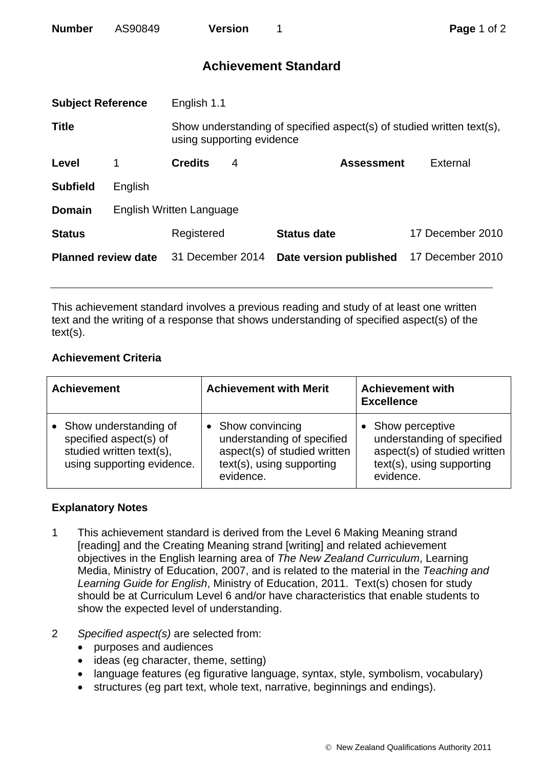| <b>Number</b> | AS90849 | <b>Version</b> |
|---------------|---------|----------------|
|               |         |                |

## **Achievement Standard**

| <b>Subject Reference</b>   |                          | English 1.1                                                                                        |   |                        |                  |
|----------------------------|--------------------------|----------------------------------------------------------------------------------------------------|---|------------------------|------------------|
| <b>Title</b>               |                          | Show understanding of specified aspect(s) of studied written text(s),<br>using supporting evidence |   |                        |                  |
| Level                      | 1                        | <b>Credits</b>                                                                                     | 4 | <b>Assessment</b>      | External         |
| <b>Subfield</b>            | English                  |                                                                                                    |   |                        |                  |
| <b>Domain</b>              | English Written Language |                                                                                                    |   |                        |                  |
| <b>Status</b>              |                          | Registered                                                                                         |   | <b>Status date</b>     | 17 December 2010 |
| <b>Planned review date</b> |                          | 31 December 2014                                                                                   |   | Date version published | 17 December 2010 |
|                            |                          |                                                                                                    |   |                        |                  |

This achievement standard involves a previous reading and study of at least one written text and the writing of a response that shows understanding of specified aspect(s) of the text(s).

## **Achievement Criteria**

| <b>Achievement</b>                                                                                        | <b>Achievement with Merit</b>                                                                                             | <b>Achievement with</b><br><b>Excellence</b>                                                                            |  |
|-----------------------------------------------------------------------------------------------------------|---------------------------------------------------------------------------------------------------------------------------|-------------------------------------------------------------------------------------------------------------------------|--|
| Show understanding of<br>specified aspect(s) of<br>studied written text(s),<br>using supporting evidence. | • Show convincing<br>understanding of specified<br>aspect(s) of studied written<br>text(s), using supporting<br>evidence. | Show perceptive<br>understanding of specified<br>aspect(s) of studied written<br>text(s), using supporting<br>evidence. |  |

## **Explanatory Notes**

- 1 This achievement standard is derived from the Level 6 Making Meaning strand [reading] and the Creating Meaning strand [writing] and related achievement objectives in the English learning area of *The New Zealand Curriculum*, Learning Media, Ministry of Education, 2007, and is related to the material in the *Teaching and Learning Guide for English*, Ministry of Education, 2011. Text(s) chosen for study should be at Curriculum Level 6 and/or have characteristics that enable students to show the expected level of understanding.
- 2 *Specified aspect(s)* are selected from:
	- purposes and audiences
	- ideas (eg character, theme, setting)
	- language features (eg figurative language, syntax, style, symbolism, vocabulary)
	- structures (eg part text, whole text, narrative, beginnings and endings).